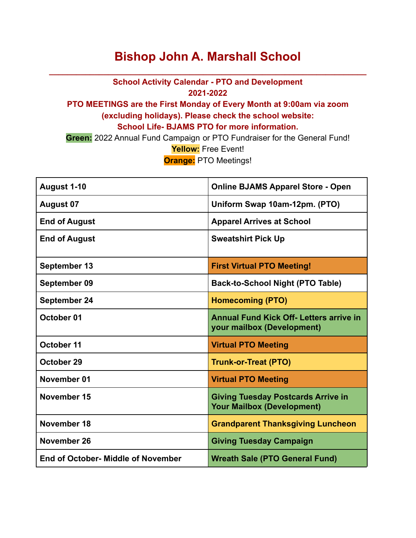## **Bishop John A. Marshall School**

**\_\_\_\_\_\_\_\_\_\_\_\_\_\_\_\_\_\_\_\_\_\_\_\_\_\_\_\_\_\_\_\_\_\_\_\_\_\_\_\_\_\_\_\_\_\_\_\_\_\_\_\_\_\_\_\_\_\_\_\_\_\_\_\_\_\_\_\_\_\_**

**School Activity Calendar - PTO and Development 2021-2022**

## **PTO MEETINGS are the First Monday of Every Month at 9:00am via zoom (excluding holidays). Please check the school website: School Life- BJAMS PTO for more information.**

**Green:** 2022 Annual Fund Campaign or PTO Fundraiser for the General Fund! **Yellow:** Free Event! **Orange:** PTO Meetings!

| August 1-10                        | <b>Online BJAMS Apparel Store - Open</b>                                       |
|------------------------------------|--------------------------------------------------------------------------------|
| <b>August 07</b>                   | Uniform Swap 10am-12pm. (PTO)                                                  |
| <b>End of August</b>               | <b>Apparel Arrives at School</b>                                               |
| <b>End of August</b>               | <b>Sweatshirt Pick Up</b>                                                      |
| <b>September 13</b>                | <b>First Virtual PTO Meeting!</b>                                              |
| September 09                       | Back-to-School Night (PTO Table)                                               |
| <b>September 24</b>                | <b>Homecoming (PTO)</b>                                                        |
| October 01                         | <b>Annual Fund Kick Off- Letters arrive in</b><br>your mailbox (Development)   |
| October 11                         | <b>Virtual PTO Meeting</b>                                                     |
| October 29                         | <b>Trunk-or-Treat (PTO)</b>                                                    |
| November 01                        | <b>Virtual PTO Meeting</b>                                                     |
| November 15                        | <b>Giving Tuesday Postcards Arrive in</b><br><b>Your Mailbox (Development)</b> |
| November 18                        | <b>Grandparent Thanksgiving Luncheon</b>                                       |
| November 26                        | <b>Giving Tuesday Campaign</b>                                                 |
| End of October- Middle of November | <b>Wreath Sale (PTO General Fund)</b>                                          |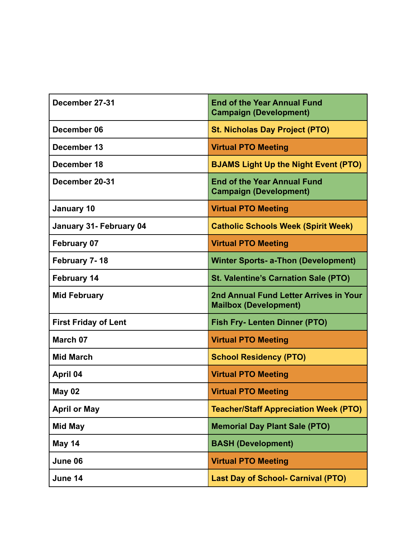| December 27-31              | <b>End of the Year Annual Fund</b><br><b>Campaign (Development)</b>    |
|-----------------------------|------------------------------------------------------------------------|
| December 06                 | <b>St. Nicholas Day Project (PTO)</b>                                  |
| December 13                 | <b>Virtual PTO Meeting</b>                                             |
| December 18                 | <b>BJAMS Light Up the Night Event (PTO)</b>                            |
| December 20-31              | <b>End of the Year Annual Fund</b><br><b>Campaign (Development)</b>    |
| <b>January 10</b>           | <b>Virtual PTO Meeting</b>                                             |
| January 31- February 04     | <b>Catholic Schools Week (Spirit Week)</b>                             |
| <b>February 07</b>          | <b>Virtual PTO Meeting</b>                                             |
| February 7-18               | <b>Winter Sports- a-Thon (Development)</b>                             |
| <b>February 14</b>          | <b>St. Valentine's Carnation Sale (PTO)</b>                            |
| <b>Mid February</b>         | 2nd Annual Fund Letter Arrives in Your<br><b>Mailbox (Development)</b> |
| <b>First Friday of Lent</b> | <b>Fish Fry- Lenten Dinner (PTO)</b>                                   |
| March 07                    | <b>Virtual PTO Meeting</b>                                             |
| <b>Mid March</b>            | <b>School Residency (PTO)</b>                                          |
| April 04                    | <b>Virtual PTO Meeting</b>                                             |
| <b>May 02</b>               | <b>Virtual PTO Meeting</b>                                             |
| <b>April or May</b>         | <b>Teacher/Staff Appreciation Week (PTO)</b>                           |
| <b>Mid May</b>              | <b>Memorial Day Plant Sale (PTO)</b>                                   |
| May 14                      | <b>BASH (Development)</b>                                              |
| June 06                     | <b>Virtual PTO Meeting</b>                                             |
| June 14                     | <b>Last Day of School- Carnival (PTO)</b>                              |